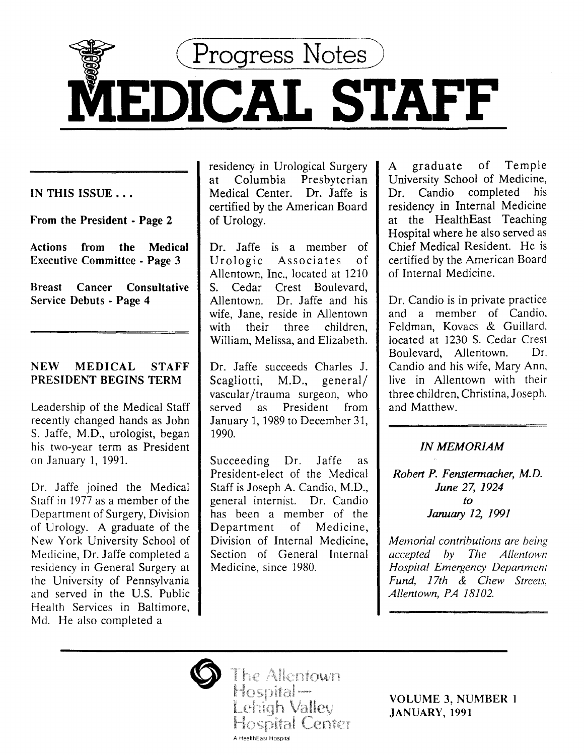

IN THIS ISSUE ...

From the President - Page 2

Actions from the Medical Executive Committee - Page 3

Breast Cancer Consultative Service Debuts - Page 4

# NEW MEDICAL STAFF PRESIDENT BEGINS TERM

Leadership of the Medical Staff recently changed hands as John S. Jaffe, M.D., urologist, began his two-year term as President on January 1, 1991.

Dr. Jaffe joined the Medical Staff in 1977 as a member of the Department of Surgery, Division of Urology. A graduate of the New York University School of Medicine, Dr. Jaffe completed a residency in General Surgery at the University of Pennsylvania and served in the U.S. Public Health Services in Baltimore, Md. He also completed a

residency in Urological Surgery at Columbia Presbyterian Medical Center. Dr. Jaffe is certified by the American Board of Urology.

Dr. Jaffe is a member of Urologic Associates of Allentown, Inc., located at 1210 S. Cedar Crest Boulevard, Allentown. Dr. Jaffe and his wife, Jane, reside in Allentown with their three children, William, Melissa, and Elizabeth.

Dr. Jaffe succeeds Charles J. Scagliotti, M.D., general/ vascular /trauma surgeon, who served as President from January 1, 1989 to December 31, 1990.

Succeeding Dr. Jaffe as President-elect of the Medical Staff is Joseph A. Candio, M.D., general internist. Dr. Candia has been a member of the Department of Medicine, Division of Internal Medicine, Section of General Internal Medicine, since 1980.

A graduate of Temple University School of Medicine, Dr. Candio completed his residency in Internal Medicine at the HealthEast Teaching Hospital where he also served as Chief Medical Resident. He is certified by the American Board of Internal Medicine.

Dr. Candia is in private practice and a member of Candio, Feldman, Kovacs & Guillard, located at 1230 S. Cedar Crest Boulevard, Allentown. Dr. Candia and his wife, Mary Ann, live in Allentown with their three children, Christina, Joseph, and Matthew.

# *IN* MEMORIAM

*Robert P. Fenstermacher, M.D.*  June *27, 1924 to*  January *12, 1991* 

*Memorial contributions are being accepted by The Allentown*  **Hospital Emergency Department** *Fund, 17th* & *Chew Streets, Allentown, PA 18102.* 



The Allentown Hospital-Lehigh Valley Hospital Center A HealthEast Hospital

VOLUME 3, NUMBER 1 JANUARY, 1991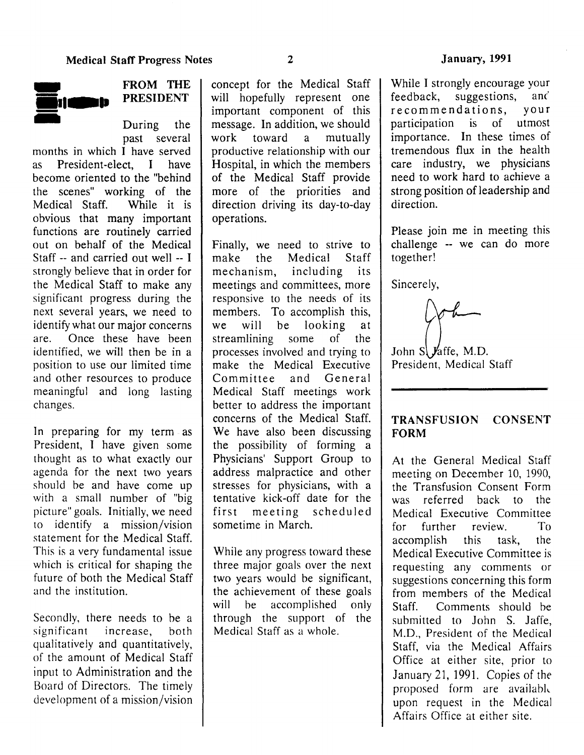

# FROM THE **PRESIDENT**

During the past several

months in which I have served as President -elect, I have become oriented to the "behind the scenes" working of the Medical Staff. While it is obvious that many important functions are routinely carried out on behalf of the Medical Staff -- and carried out well -- I strongly believe that in order for the Medical Staff to make any significant progress during the next several years, we need to identify what our major concerns are. Once these have been identified, we will then be in a position to use our limited time and other resources to produce meaningful and long lasting changes.

In preparing for my term as President, I have given some thought as to what exactly our agenda for the next two years should be and have come up with a small number of "big picture" goals. Initially, we need to identify a mission/vision statement for the Medical Staff. This is a very fundamental issue which is critical for shaping the future of both the Medical Staff and the institution.

Secondly, there needs to he a significant increase, both qualitatively and quantitatively, of the amount of Medical Staff input to Administration and the Board of Directors. The timely development of a mission/vision

concept for the Medical Staff will hopefully represent one important component of this message. In addition, we should work toward a mutually productive relationship with our Hospital, in which the members of the Medical Staff provide more of the priorities and direction driving its day-to-day operations.

Finally, we need to strive to make the Medical Staff mechanism, including its meetings and committees, more responsive to the needs of its members. To accomplish this, we will be looking at streamlining some of the processes involved and trying to make the Medical Executive Committee and General Medical Staff meetings work better to address the important concerns of the Medical Staff. We have also been discussing the possibility of forming a Physicians' Support Group to address malpractice and other stresses for physicians, with a tentative kick-off date for the first meeting scheduled sometime in March.

While any progress toward these three major goals over the next two years would be significant, the achievement of these goals will be accomplished only through the support of the Medical Staff as a whole.

While I strongly encourage your feedback, suggestions, and recommendations, your participation is of utmost importance. In these times of tremendous flux in the health care industry, we physicians need to work hard to achieve a strong position of leadership and direction.

Please join me in meeting this challenge -- we can do more together!

Sincerely,

John  $S$  *y*affe, M.D. President, Medical Staff

# TRANSFUSION CONSENT FORM

At the General Medical Staff meeting on December 10, 1990, the Transfusion Consent Form was referred back to the Medical Executive Committee for further review. To accomplish this task, the Medical Executive Committee is requesting any comments or suggestions concerning this form from members of the Medical Staff. Comments should be submitted to John S. Jaffe. M.D., President of the Medical Staff, via the Medical Affairs Office at either site, prior to January 21, 1991. Copies of *the*  proposed form are available upon request in the Medical Affairs Office at either site.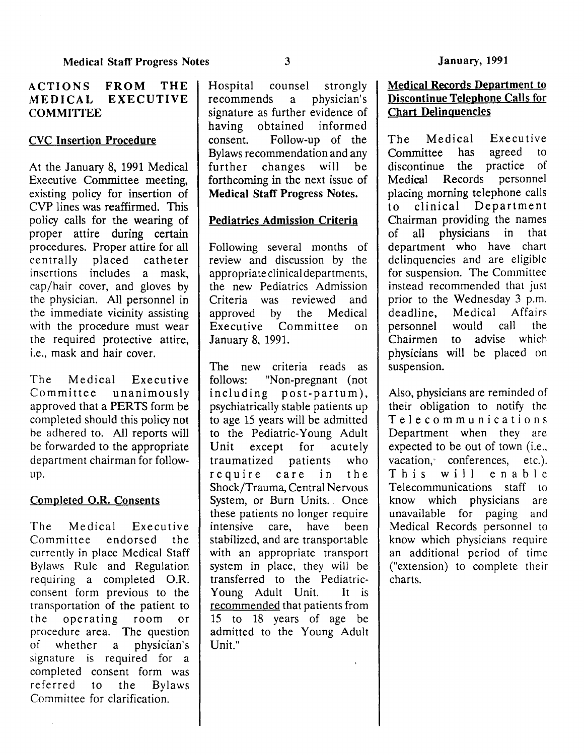# CVC Insertion Procedure

At the January 8, 1991 Medical Executive Committee meeting, existing policy for insertion of CVP lines was reaffirmed. This policy calls for the wearing of proper attire during certain procedures. Proper attire for all centrally placed catheter insertions includes a mask, cap/hair cover, and gloves by the physician. All personnel in the immediate vicinity assisting with the procedure must wear the required protective attire, i.e., mask and hair cover.

The Medical Executive Committee unanimously approved that a PERTS form be completed should this policy not be adhered to. All reports will be forwarded to the appropriate department chairman for followup.

# Completed O.R. Consents

The Medical Executive Committee endorsed the currently in place Medical Staff Bylaws Rule and Regulation requiring a completed O.R. consent form previous to the transportation of the patient to the operating room or procedure area. The question of whether a physician's signature is required for a completed consent form was referred to the Bylaws Committee for clarification.

Hospital counsel strongly recommends a physician's signature as further evidence of having obtained informed consent. Follow-up of the Bylaws recommendation and any further changes will be forthcoming in the next issue of Medical Staff Progress Notes.

# Pediatrics Admission Criteria

Following several months of review and discussion by the appropriate clinical departments, the new Pediatrics Admission Criteria was reviewed and approved by the Medical Executive Committee on January 8, 1991.

The new criteria reads as follows: "Non-pregnant (not including post-partum), psychiatrically stable patients up to age 15 years will be admitted to the Pediatric-Young Adult Unit except for acutely traumatized patients who require care in the Shock/Trauma, Central Nervous System, or Burn Units. Once these patients no longer require intensive care, have been stabilized, and are transportable with an appropriate transport system in place, they will be transferred to the Pediatric-Young Adult Unit. It is recommended that patients from 15 to 18 years of age be admitted to the Young Adult Unit."

## Medical Records Department to Discontinue Telephone Calls for Chart Delinguencies

The Medical Executive Committee has agreed to discontinue the practice of Medical Records personnel placing morning telephone calls to clinical Department Chairman providing the names of all physicians in that department who have chart delinquencies and are eligible for suspension. The Committee instead recommended that just prior to the Wednesday 3 p.m. deadline, Medical Affairs personnel would call the Chairmen to advise which physicians will be placed on suspension.

Also, physicians are reminded of their obligation to notify the Telecommunications Department when they are expected to be out of town (i.e., vacation, conferences, etc.). This will enable Telecommunications staff to know which physicians are unavailable for paging and Medical Records personnel to know which physicians require an additional period of time ("extension) to complete their charts.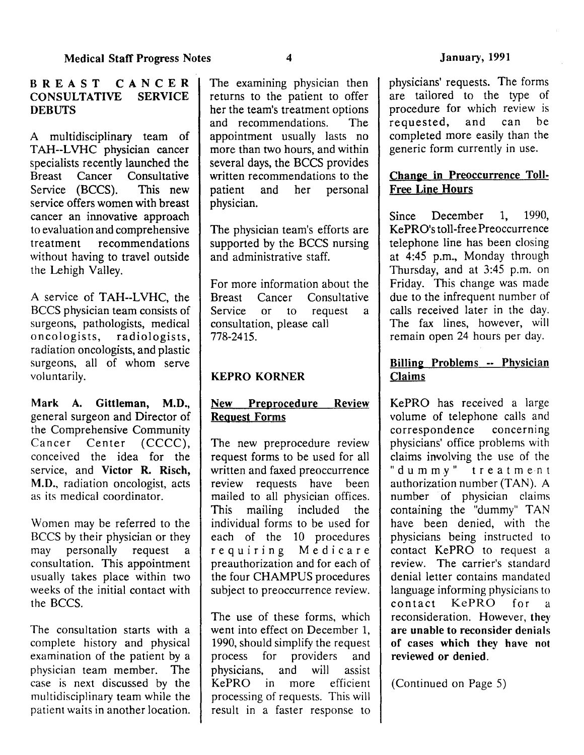# BREAST CANCER<br>CONSULTATIVE SERVICE **CONSULTATIVE DEBUTS**

A multidisciplinary team of TAH--LVHC physician cancer specialists recently launched the Breast Cancer Consultative Service (BCCS). This new service offers women with breast cancer an innovative approach to evaluation and comprehensive treatment recommendations without having to travel outside the Lehigh Valley.

A service of TAH--LVHC, the BCCS physician team consists of surgeons, pathologists, medical oncologists, radiologists, radiation oncologists, and plastic surgeons, all of whom serve voluntarily.

Mark A. Gittleman, M.D., general surgeon and Director of the Comprehensive Community Cancer Center (CCCC), conceived the idea for the service, and Victor R. Risch, M.D., radiation oncologist, acts as its medical coordinator.

Women may be referred to the BCCS by their physician or they may personally request a consultation. This appointment usually takes place within two weeks of the initial contact with the BCCS.

The consultation starts with a complete history and physical examination of the patient by a physician team member. The case is next discussed by the multidisciplinary team while the patient waits in another location.

The examining physician then returns to the patient to offer her the team's treatment options and recommendations. The appointment usually lasts no more than two hours, and within several days, the BCCS provides written recommendations to the patient and her personal physician.

The physician team's efforts are supported by the BCCS nursing and administrative staff.

For more information about the Breast Cancer Consultative Service or to request a consultation, please call 778-2415.

# KEPRO KORNER

# New Preprocedure Review Reguest Forms

The new preprocedure review request forms to be used for all written and faxed preoccurrence review requests have been mailed to all physician offices. This mailing included the individual forms to be used for each of the 10 procedures requiring Medicare preauthorization and for each of the four CHAMPUS procedures subject to preoccurrence review.

The use of these forms, which went into effect on December 1, 1990, should simplify the request process for providers and physicians, and will assist KePRO in more efficient processing of requests. This will result in a faster response to

physicians' requests. The forms are tailored to the type of procedure for which review is requested, and can be completed more easily than the generic form currently in use.

# Change in Preoccurrence Toll-Free Line Hours

Since December 1, 1990, KePRO's toll-free Preoccurrence telephone line has been closing at 4:45 p.m., Monday through Thursday, and at 3:45 p.m. on Friday. This change was made due to the infrequent number of calls received later in the day. The fax lines, however, will remain open 24 hours per day.

# Billing Problems -- Physician Claims

KePRO has received a large volume of telephone calls and correspondence concerning physicians' office problems with claims involving the use of the "dummy" treatme·nt authorization number (TAN). A number of physician claims containing the "dummy" TAN have been denied, with the physicians being instructed to contact KePRO to request a review. The carrier's standard denial letter contains mandated language informing physicians to contact KePRO for a reconsideration. However, they are unable to reconsider denials of cases which they have not reviewed or denied.

(Continued on Page 5)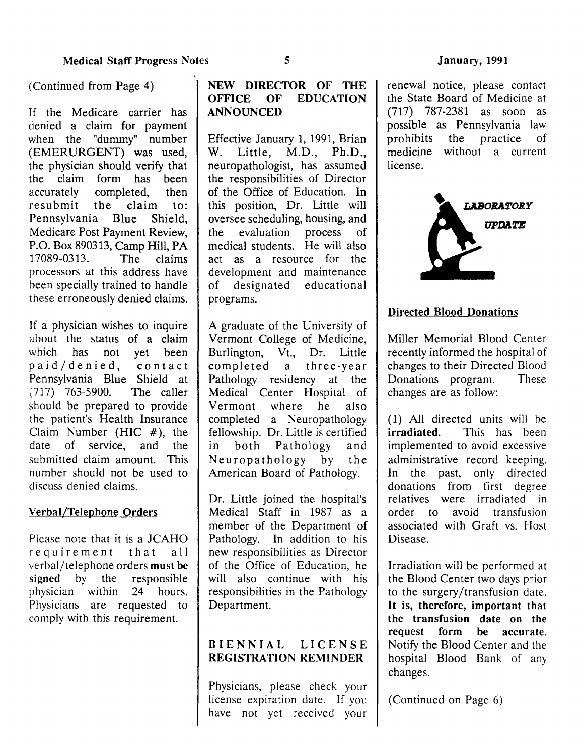# (Continued from Page 4)

If the Medicare carrier has denied a claim for payment when the "dummy" number (EMERURGENT) was used, the physician should verify that the claim form has been accurately completed, then resubmit the claim to: Pennsylvania Blue Shield, Medicare Post Payment Review, P.O. Box 890313, Camp Hill, PA 17089-0313. The claims processors at this address have been specially trained to handle these erroneously denied claims.

If a physician wishes to inquire about the status of a claim which has not yet been paid/denied, contact Pennsylvania Blue Shield at (717) 763-5900. The caller should be prepared to provide the patient's Health Insurance Claim Number (HIC  $#$ ), the date of service, and the submitted claim amount. This number should not be used to discuss denied claims.

#### Verbal/Telephone Orders

Please note that it is a JCAHO requirement that all verbal/telephone orders must be signed by the responsible physician within 24 hours. Physicians are requested to comply with this requirement.

# NEW DIRECTOR OF THE OFFICE OF EDUCATION ANNOUNCED

Effective January 1, 1991, Brian W. Little, M.D., Ph.D., neuropathologist, has assumed the responsibilities of Director of the Office of Education. In this position, Dr. Little will oversee scheduling, housing, and the evaluation process of medical students. He will also act as a resource for the development and maintenance of designated educational programs.

A graduate of the University of Vermont College of Medicine, Burlington, Vt., Dr. Little completed a three-year Pathology residency at the Medical Center Hospital of Vermont where he also completed a Neuropathology fellowship. Dr. Little is certified in both Pathology and Neuropathology by the American Board of Pathology.

Dr. Little joined the hospital's Medical Staff in 1987 as a member of the Department of Pathology. In addition to his new responsibilities as Director of the Office of Education, he will also continue with his responsibilities in the Pathology Department.

# BIENNIAL LICENSE REGISTRATION REMINDER

Physicians, please check your license expiration date. If you have not yet received your

renewal notice, please contact the State Board of Medicine at (717) 787-2381 as soon as possible as Pennsylvania law prohibits the practice of medicine without a current license.



### Directed Blood Donations

Miller Memorial Blood Center recently informed the hospital of changes to their Directed Blood Donations program. These changes are as follow:

(1) All directed units will he irradiated. This has been implemented to avoid excessive administrative record keeping. In the past, only directed donations from first degree relatives were irradiated in order to avoid transfusion associated with Graft vs. Host Disease.

Irradiation will be performed at the Blood Center two days prior to the surgery/transfusion date. It is, therefore, important that the transfusion date on the request form be accurate. Notify the Blood Center and the hospital Blood Bank of any changes.

(Continued on Page 6)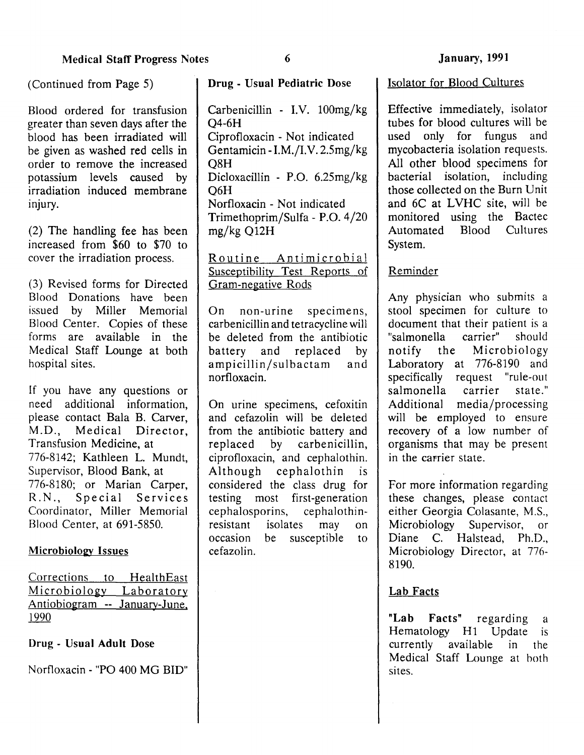Blood ordered for transfusion greater than seven days after the blood has been irradiated will be given as washed red cells in order to remove the increased potassium levels caused by irradiation induced membrane injury.

(2) The handling fee has been increased from \$60 to \$70 to cover the irradiation process.

(3) Revised forms for Directed Blood Donations have been issued by Miller Memorial Blood Center. Copies of these forms are available in the Medical Staff Lounge at both hospital sites.

If you have any questions or need additional information, please contact Bala B. Carver, M.D., Medical Director, Transfusion Medicine, at 776-8142; Kathleen L. Mundt, Supervisor, Blood Bank, at 776-8180; or Marian Carper, R.N., Special Services Coordinator, Miller Memorial Blood Center, at 691-5850.

#### Microbiology Issues

Corrections to HealthEast Microbiology Laboratory Antiobiogram -- January-June. 1990

#### Drug- Usual Adult Dose

Nortloxacin- "PO 400 MG BID"

(Continued from Page 5) Drug- Usual Pediatric Dose

Carbenicillin - I.V. lOOmg/kg Q4-6H Ciprofloxacin - Not indicated Gentamicin- I.M./I.V. 2.5mg/kg Q8H Dicloxacillin - P.O. 6.25mg/kg Q6H Norfloxacin- Not indicated Trimethoprim/Sulfa- P.O. 4/20 mg/kg Q12H

Routine Antimicrobial Susceptibility Test Reports of Gram-negative Rods

On non-urine specimens, carbenicillin and tetracycline will be deleted from the antibiotic<br>battery and replaced by battery and replaced by ampicillin/sulbactam and norfloxacin.

On urine specimens, cefoxitin and cefazolin will be deleted from the antibiotic battery and replaced by carbenicillin, ciprofloxacin, and cephalothin. Although cephalothin is considered the class drug for testing most first-generation cephalosporins, cephalothinresistant isolates may on occasion be susceptible to cefazolin.

#### Isolator for Blood Cultures

Effective immediately, isolator tubes for blood cultures will be used only for fungus and mycobacteria isolation requests. All other blood specimens for bacterial isolation, including those collected on the Burn Unit and 6C at LVHC site, will be monitored using the Bactec Automated Blood Cultures System.

#### Reminder

Any physician who submits a stool specimen for culture to document that their patient is a<br>"salmonella carrier" should "salmonella carrier" should notify the Microbiology Laboratory at 776-8190 and specifically request "rule-out salmonella carrier state." Additional media/processing will be employed to ensure recovery of a low number of organisms that may be present in the carrier state.

For more information regarding these changes, please contact either Georgia Colasante, M.S., Microbiology Supervisor, or Diane C. Halstead, Ph.D., Microbiology Director, at 776- 8190.

#### Lab Facts

"Lab Facts" regarding a Hematology H1 Update is currently available in the Medical Staff Lounge at both sites.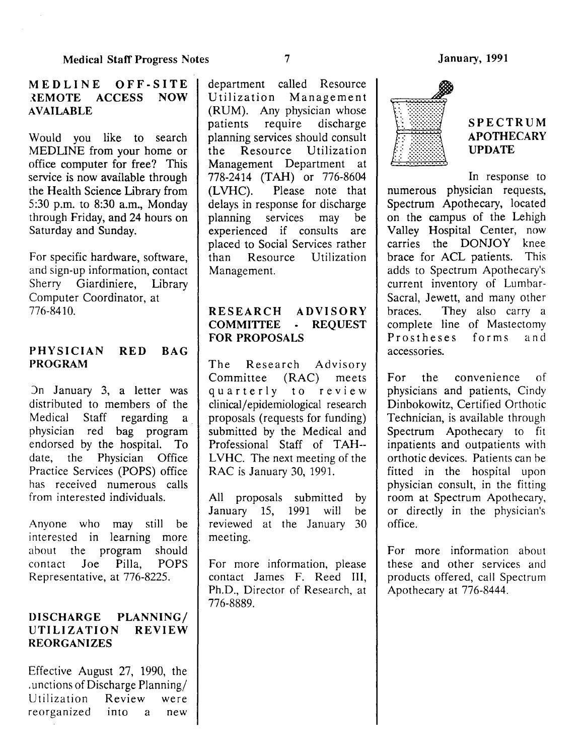## MEDLINE OFF-SITE lEMOTE ACCESS NOW AVAILABLE

Would you like to search MEDLINE from your home or office computer for free? This service is now available through the Health Science Library from 5:30 p.m. to 8:30 a.m., Monday through Friday, and 24 hours on Saturday and Sunday.

For specific hardware, software, and sign-up information, contact Sherry Giardiniere, Library Computer Coordinator, at 776-8410.

# PHYSICIAN RED BAG PROGRAM

)n January 3, a letter was distributed to members of the Medical Staff regarding a physician red bag program endorsed by the hospital. To date, the Physician Office Practice Services (POPS) office has received numerous calls from interested individuals.

Anyone who may still be interested in learning more about the program should contact Joe Pilla, POPS Representative, at 776-8225.

## DISCHARGE PLANNING/ UTILIZATION REVIEW REORGANIZES

Effective August 27, 1990, the . unctions of Discharge Planning/ Utilization Review were reorganized into a new

department called Resource Utilization Management (RUM). Any physician whose patients require discharge planning services should consult the Resource Utilization Management Department at 778-2414 (TAH) or 776-8604 (LVHC). Please note that delays in response for discharge planning services may be experienced if consults are placed to Social Services rather than Resource Utilization Management.

# RESEARCH ADVISORY COMMITTEE - REQUEST FOR PROPOSALS

The Research Advisory Committee (RAC) meets quarterly to review clinical/ epidemiological research proposals (requests for funding) submitted by the Medical and Professional Staff of TAH-- LVHC. The next meeting of the RAC is January 30, 1991.

All proposals submitted by January 15, 1991 will be reviewed at the January 30 meeting.

For more information, please contact James F. Reed III, Ph.D., Director of Research, at 776-8889.



# SPECTRUM APOTHECARY UPDATE

In response to numerous physician requests, Spectrum Apothecary, located on the campus of the Lehigh Valley Hospital Center, now carries the DONJOY knee brace for ACL patients. This adds to Spectrum Apothecary's current inventory of Lumbar-Sacral, Jewett, and many other braces. They also carry a complete line of Mastectomy<br>Prostheses forms and  $Proofes$ accessones.

For the convenience of physicians and patients, Cindy Dinbokowitz, Certified Orthotic Technician, is available through Spectrum Apothecary to fit inpatients and outpatients with orthotic devices. Patients can he fitted in the hospital upon physician consult, in the fitting room at Spectrum Apothecary, or directly in the physician's office.

For more information about these and other services and products offered, call Spectrum Apothecary at 776-8444.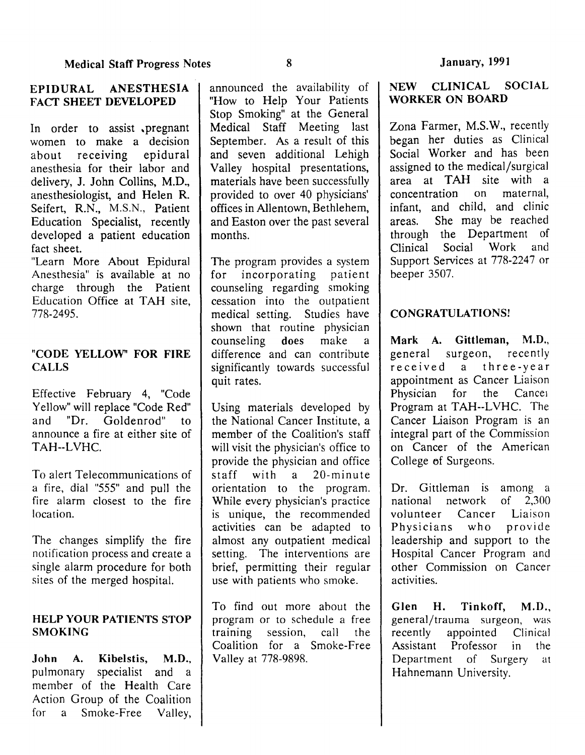### EPIDURAL ANESTHESIA FACT SHEET DEVELOPED

In order to assist pregnant women to make a decision about receiving epidural anesthesia for their labor and delivery, J. John Collins, M.D., anesthesiologist, and Helen R. Seifert, R.N., M.S.N., Patient Education Specialist, recently developed a patient education fact sheet.

"Learn More About Epidural Anesthesia" is available at no charge through the Patient Education Office at TAH site, 778-2495.

# "CODE YELLOW' FOR FIRE CALLS

Effective February 4, "Code Yellow" will replace "Code Red" and "Dr. Goldenrod" to announce a fire at either site of TAH--LVHC.

To alert Telecommunications of a fire, dial "555" and pull the fire alarm closest to the fire location.

The changes simplify the fire notification process and create a single alarm procedure for both sites of the merged hospital.

## HELP YOUR PATIENTS STOP **SMOKING**

John A. Kibelstis, M.D., pulmonary specialist and a member of the Health Care Action Group of the Coalition for a Smoke-Free Valley,

announced the availability of "How to Help Your Patients Stop Smoking" at the General Medical Staff Meeting last September. As a result of this and seven additional Lehigh Valley hospital presentations, materials have been successfully provided to over 40 physicians' offices in Allentown, Bethlehem, and Easton over the past several months.

The program provides a system for incorporating patient counseling regarding smoking cessation into the outpatient medical setting. Studies have shown that routine physician counseling does make a difference and can contribute significantly towards successful quit rates.

Using materials developed by the National Cancer Institute, a member of the Coalition's staff will visit the physician's office to provide the physician and office staff with a 20-minute orientation to the program. While every physician's practice is unique, the recommended activities can be adapted to almost any outpatient medical setting. The interventions are brief, permitting their regular use with patients who smoke.

To find out more about the program or to schedule a free training session, call the Coalition for a Smoke-Free Valley at 778-9898.

# NEW CLINICAL SOCIAL WORKER ON BOARD

Zona Farmer, M.S.W., recently began her duties as Clinical Social Worker and has been assigned to the medical/surgical area at TAH site with a concentration on maternal, infant, and child, and clinic areas. She may be reached through the Department of<br>Clinical Social Work and Clinical Social Support Services at 778-2247 or beeper 3507.

# CONGRATULATIONS!

Mark A. Gittleman, M.D., general surgeon, recently received a three-year appointment as Cancer Liaison<br>Physician for the Cancer Physician for Program at TAH--LVHC. The Cancer Liaison Program is an integral part of the Commission on Cancer of the American College of Surgeons.

Dr. Gittleman is among a<br>national network of 2.300 national network of volunteer Cancer Liaison Physicians who provide leadership and support to the Hospital Cancer Program and other Commission on Cancer activities.

Glen H. Tinkoff, M.D., general/trauma surgeon, was recently appointed Clinical<br>Assistant Professor in the Assistant Professor in Department of Surgery at Hahnemann University.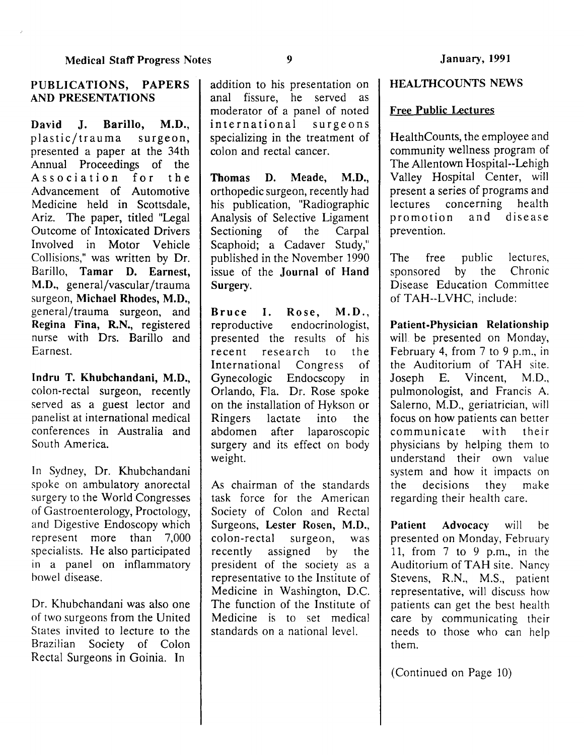#### PUBLICATIONS, PAPERS AND PRESENTATIONS

David J, Barillo, M.D., plastic/trauma surgeon, presented a paper at the 34th Annual Proceedings of the Association for the Advancement of Automotive Medicine held in Scottsdale, Ariz. The paper, titled "Legal Outcome of Intoxicated Drivers Involved in Motor Vehicle Collisions," was written by Dr. Barillo, Tamar D. Earnest, M.D., general/vascular /trauma surgeon, Michael Rhodes, M.D., general/trauma surgeon, and Regina Fina, R.N., registered nurse with Drs. Barilla and Earnest.

Indru T. Khubchandani, M.D., colon-rectal surgeon, recently served as a guest lector and panelist at international medical conferences in Australia and South America.

In Sydney, Dr. Khubchandani spoke on ambulatory anorectal surgery to the World Congresses of Gastroenterology, Proctology, and Digestive Endoscopy which represent more than 7,000 specialists. He also participated in a panel on inflammatory bowel disease.

Dr. Khubchandani was also one of two surgeons from the United States invited to lecture to the Brazilian Society of Colon Rectal Surgeons in Goinia. In

addition to his presentation on anal fissure, he served as moderator of a panel of noted international surgeons specializing in the treatment of colon and rectal cancer.

Thomas D. Meade, M.D., orthopedic surgeon, recently had his publication, "Radiographic Analysis of Selective Ligament Sectioning of the Carpal Scaphoid; a Cadaver Study," published in the November 1990 issue of the Journal of Hand Surgery.

Bruce I. Rose, M.D., reproductive endocrinologist, presented the results of his recent research to the International Congress of Gynecologic Endocscopy in Orlando, Fla. Dr. Rose spoke on the installation of Hykson or Ringers lactate into the abdomen after laparoscopic surgery and its effect on body weight.

As chairman of the standards task force for the American Society of Colon and Rectal Surgeons, Lester Rosen, M.D., colon-rectal surgeon, was recently assigned by the president of the society as a representative to the Institute of Medicine in Washington, D.C. The function of the Institute of Medicine is to set medical standards on a national level.

#### HEALTHCOUNTS NEWS

#### Free Public Lectures

Health Counts, the employee and community wellness program of The Allentown Hospital--Lehigh Valley Hospital Center, will present a series of programs and lectures concerning health promotion and disease prevention.

The free public lectures, sponsored by the Chronic Disease Education Committee of TAH--LVHC, include:

Patient-Physician Relationship will be presented on Monday, February 4, from 7 to 9 p.m., in the Auditorium of TAH site. Joseph E. Vincent, M.D., pulmonologist, and Francis A. Salerno, M.D., geriatrician, will focus on how patients can better communicate with their physicians by helping them to understand their own value system and how it impacts on the decisions they make regarding their health care.

Patient Advocacy will be presented on Monday, February 11, from 7 to 9 p.m., in the Auditorium of TAH site. Nancy Stevens, R.N., M.S., patient representative, will discuss how patients can get the best health care by communicating their needs to those who can help them.

(Continued on Page 10)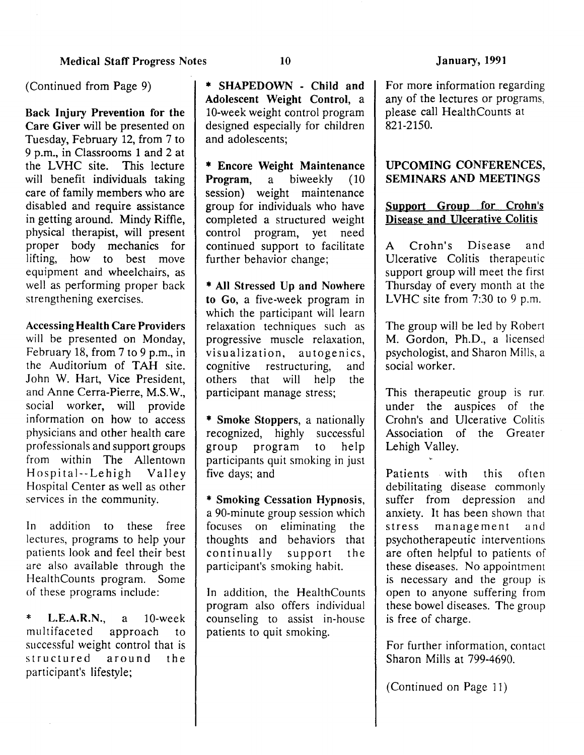(Continued from Page 9)

Back Injury Prevention for the Care Giver will be presented on Tuesday, February 12, from 7 to 9 p.m., in Classrooms 1 and 2 at the LVHC site. This lecture will benefit individuals taking care of family members who are disabled and require assistance in getting around. Mindy Riffle, physical therapist, will present proper body mechanics for lifting, how to best move equipment and wheelchairs, as well as performing proper back strengthening exercises.

Accessing Health Care Providers

will be presented on Monday, February 18, from 7 to 9 p.m., in the Auditorium of TAH site. John W. Hart, Vice President, and Anne Cerra-Pierre, M.S.W., social worker, will provide information on how to access physicians and other health care professionals and support groups from within The Allentown Hospital--Lehigh Valley Hospital Center as well as other services in the community.

In addition to these free lectures, programs to help your patients look and feel their best are also available through the HealthCounts program. Some of these programs include:

**L.E.A.R.N.**, a 10-week<br>tifaceted approach to multifaceted approach to successful weight control that is structured around the participant's lifestyle;

\* SHAPEDOWN - Child and Adolescent Weight Control, a 10-week weight control program designed especially for children and adolescents;

\* Encore Weight Maintenance<br>Program, a biweekly (10 Program, session) weight maintenance group for individuals who have completed a structured weight control program, yet need continued support to facilitate further behavior change;

\* All Stressed Up and Nowhere to Go, a five-week program in which the participant will learn relaxation techniques such as progressive muscle relaxation, visualization, autogenics, cognitive restructuring, and others that will help the participant manage stress;

\* Smoke Stoppers, a nationally recognized, highly successful group program to help participants quit smoking in just five days; and

\* Smoking Cessation Hypnosis, a 90-minute group session which focuses on eliminating the thoughts and behaviors that continually support the participant's smoking habit.

In addition, the HealthCounts program also offers individual counseling to assist in-house patients to quit smoking.

For more information regarding any of the lectures or programs, please call HealthCounts at 821-2150.

### UPCOMING CONFERENCES, SEMINARS AND MEETINGS

### Support Group for Crohn's Disease and Ulcerative Colitis

A Crohn's Disease and Ulcerative Colitis therapeutic support group will meet the first Thursday of every month at the LVHC site from 7:30 to 9 p.m.

The group will be led by Robert M. Gordon, Ph.D., a licensed psychologist, and Sharon Mills, a social worker.

This therapeutic group is rur. under the auspices of the Crohn's and Ulcerative Colitis Association of the Greater Lehigh Valley.

Patients with this often debilitating disease commonly suffer from depression and anxiety. It has been shown that stress management and psychotherapeutic interventions are often helpful to patients of these diseases. No appointment is necessary and the group is open to anyone suffering from these bowel diseases. The group is free of charge.

For further information, contact Sharon Mills at 799-4690.

(Continued on Page 11)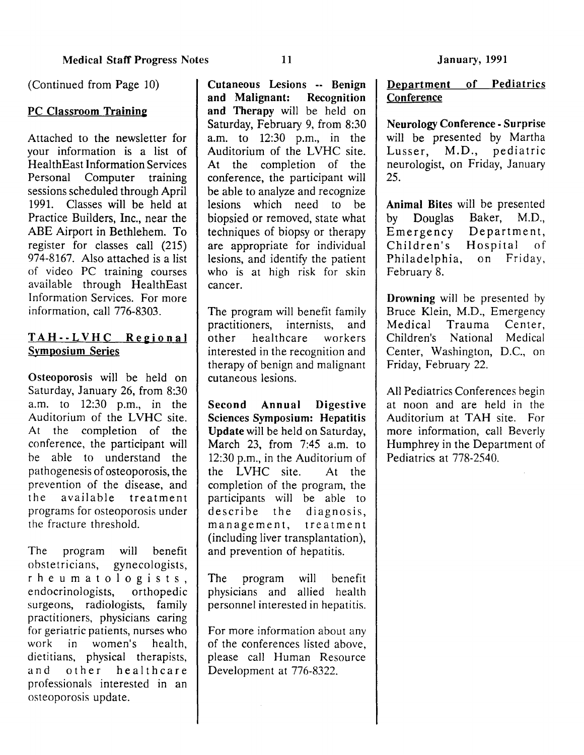(Continued from Page 10)

## PC Classroom Training

Attached to the newsletter for your information is a list of HealthEast Information Services Personal Computer training sessions scheduled through April 1991. Classes will be held at Practice Builders, Inc., near the ABE Airport in Bethlehem. To register for classes call (215) 974-8167. Also attached is a list of video PC training courses available through HealthEast Information Services. For more information, call 776-8303.

# TAH--LVHC Regional Symposium Series

Osteoporosis will be held on Saturday, January 26, from 8:30 a.m. to 12:30 p.m., in the Auditorium of the LVHC site. At the completion of the conference, the participant will he able to understand the pathogenesis of osteoporosis, the prevention of the disease, and the available treatment programs for osteoporosis under the fracture threshold.

The program will benefit obstetricians, gynecologists, rheumatologists,<br>endocrinologists, orthopedic endocrinologists, surgeons, radiologists, family practitioners, physicians caring for geriatric patients, nurses who work in women's health, dietitians, physical therapists, and other healthcare professionals interested in an osteoporosis update.

Cutaneous Lesions -- Benign and Malignant: Recognition and Therapy will be held on Saturday, February 9, from 8:30 a.m. to 12:30 p.m., in the Auditorium of the LVHC site. At the completion of the conference, the participant will be able to analyze and recognize lesions which need to be biopsied or removed, state what techniques of biopsy or therapy are appropriate for individual lesions, and identify the patient who is at high risk for skin cancer.

The program will benefit family practitioners, internists, and other healthcare workers interested in the recognition and therapy of benign and malignant cutaneous lesions.

Second Annual Digestive Sciences Symposium: Hepatitis Update will be held on Saturday, March 23, from 7:45 a.m. to 12:30 p.m., in the Auditorium of the LVHC site. At the completion of the program, the participants will be able to describe the diagnosis, management, treatment (including liver transplantation), and prevention of hepatitis.

The program will benefit physicians and allied health personnel interested in hepatitis.

For more information about any of the conferences listed above, please call Human Resource Development at 776-8322.

# Department of Pediatrics **Conference**

Neurology Conference- Surprise will be presented by Martha Lusser, M.D., pediatric neurologist, on Friday, January 25.

Animal Bites will be presented by Douglas Baker, M.D., Emergency Department, Children's Hospital of Philadelphia, on Friday, February 8.

Drowning will be presented by Bruce Klein, M.D., Emergency Medical Trauma Center, Children's National Medical Center, Washington, D.C., on Friday, February 22.

All Pediatrics Conferences begin at noon and are held in the Auditorium at TAH site. For more information, call Beverly Humphrey in the Department of Pediatrics at 778-2540.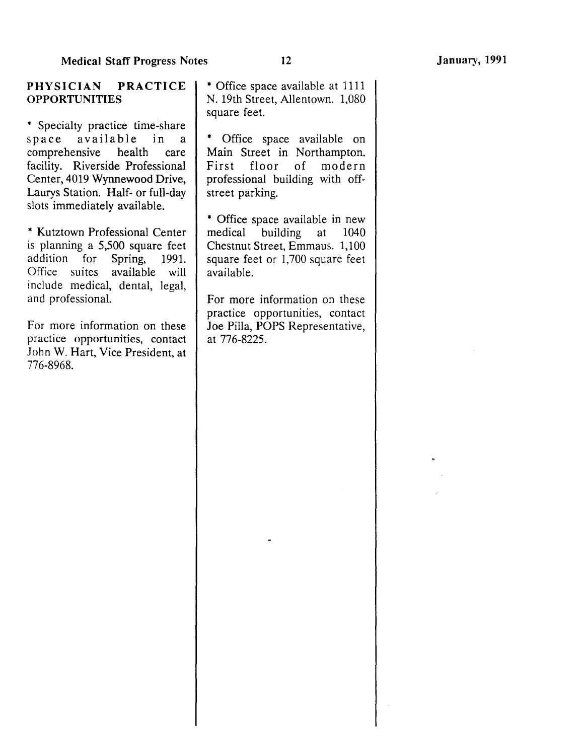\* Specialty practice time-share space available in a<br>comprehensive health care comprehensive health facility. Riverside Professional Center, 4019 Wynnewood Drive, Laurys Station. Half- or full-day slots immediately available.

\* Kutztown Professional Center is planning a 5,500 square feet addition for Spring, 1991. Office suites available will include medical, dental, legal, and professional.

For more information on these practice opportunities, contact John W. Hart, Vice President, at 776-8968.

\* Office space available on Main Street in Northampton. First floor of modern professional building with offstreet parking.

\* Office space available in new medical building at 1040 Chestnut Street, Emmaus. 1,100 square feet or 1,700 square feet available.

For more information on these practice opportunities, contact Joe Pilla, POPS Representative, at 776-8225.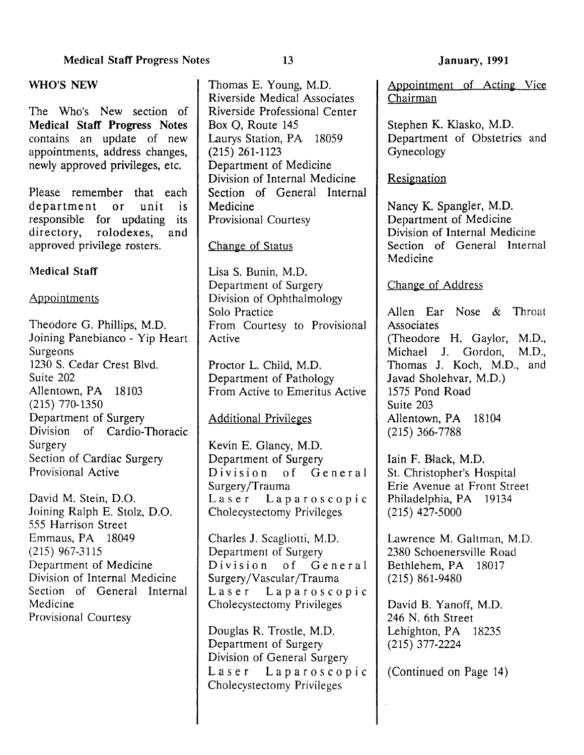The Who's New section of Medical Staff Progress Notes contains an update of new appointments, address changes, newly approved privileges, etc.

Please remember that each department or unit is responsible for updating its<br>directory, rolodexes, and rolodexes, and approved privilege rosters.

# Medical Staff

## Appointments

Theodore G. Phillips, M.D. Joining Panebianco - Yip Heart Surgeons 1230 S. Cedar Crest Blvd. Suite 202 Allentown, PA 18103 (215) 770-1350 Department of Surgery Division of Cardio-Thoracic Surgery Section of Cardiac Surgery Provisional Active

David M. Stein, D.O. Joining Ralph E. Stolz, D.O. 555 Harrison Street Emmaus, PA 18049 (215) 967-3115 Department of Medicine Division of Internal Medicine Section of General Internal Medicine Provisional Courtesy

Thomas E. Young, M.D. Riverside Medical Associates Riverside Professional Center Box Q, Route 145 Laurys Station, PA 18059 (215) 261-1123 Department of Medicine Division of Internal Medicine Section of General Internal Medicine Provisional Courtesy

## Change of Status

Lisa S. Bunin, M.D. Department of Surgery Division of Ophthalmology Solo Practice From Courtesy to Provisional Active

Proctor L. Child, M.D. Department of Pathology From Active to Emeritus Active

# Additional Privileges

Kevin E. Glancy, M.D. Department of Surgery Division of General Surgery /Trauma Laser Laparoscopic Cholecystectomy Privileges

Charles J. Scagliotti, M.D. Department of Surgery Division of General Surgery /Vascular /Trauma Laser Laparoscopic Cholecystectomy Privileges

Douglas R. Trostle, M.D. Department of Surgery Division of General Surgery Laser Laparoscopic Cholecystectomy Privileges

Appointment of Acting Vice Chairman

Stephen K. Klasko, M.D. Department of Obstetrics and Gynecology

Resignation

Nancy K. Spangler, M.D. Department of Medicine Division of Internal Medicine Section of General Internal Medicine

## Change of Address

Allen Ear Nose & Throat **Associates** (Theodore H. Gaylor, M.D., Michael J. Gordon, M.D., Thomas J. Koch, M.D., and Javad Sholehvar, M.D.) 1575 Pond Road Suite 203 Allentown, PA 18104 (215) 366-7788

lain F. Black, M.D. St. Christopher's Hospital Erie Avenue at Front Street Philadelphia, PA 19134 (215) 427-5000

Lawrence M. Galtman, M.D. 2380 Schoenersville Road Bethlehem, PA 18017 (215) 861-9480

David B. Yanoff, M.D. 246 N. 6th Street Lehighton, PA 18235 (215) 377-2224

(Continued on Page 14)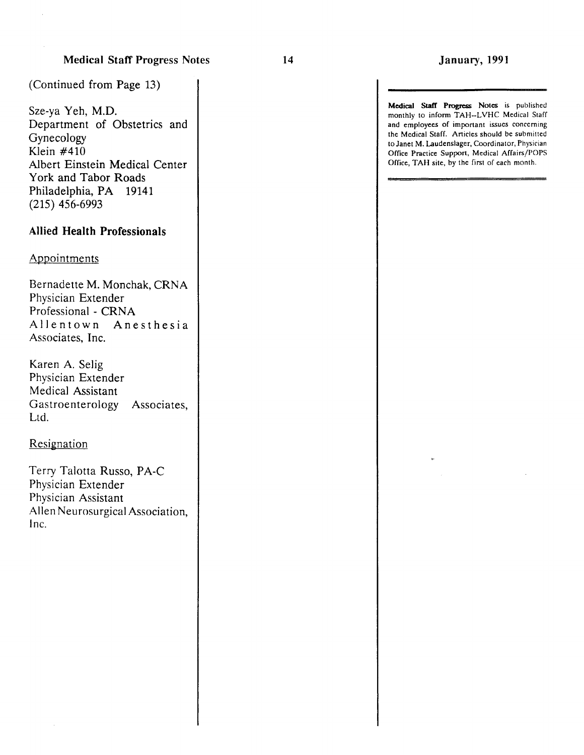Medical Staff Progress Notes is published monthly to inform TAH-LVHC Medical Staff and employees of important issues concerning the Medical Staff. Articles should be submitted to Janet M. Laudenslager, Coordinator, Physician Office Practice Support, Medical Affairs/POPS Office, TAH site, by the first of each month.

(Continued from Page 13)

Sze-ya Yeh, M.D. Department of Obstetrics and Gynecology Klein #410 Albert Einstein Medical Center York and Tabor Roads Philadelphia, PA 19141 (215) 456-6993

### Allied Health Professionals

#### Appointments

Bernadette M. Monchak, CRNA Physician Extender Professional - CRNA Allentown Anesthesia Associates, Inc.

Karen A. Selig Physician Extender Medical Assistant Gastroenterology Associates, Ltd.

#### **Resignation**

Terry Talotta Russo, PA-C Physician Extender Physician Assistant Allen Neurosurgical Association, Inc.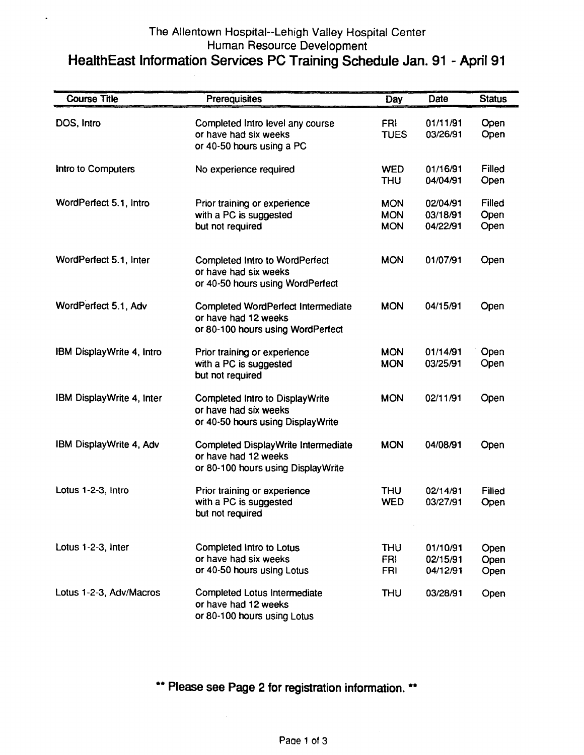# The Allentown Hospital--Lehigh Valley Hospital Center Human Resource Development HealthEast Information Services PC Training Schedule Jan. 91 - April91

 $\hat{\mathbf{z}}$ 

| <b>Course Title</b>       | Prerequisites                                                                                          | Day                                    | Date                             | <b>Status</b>          |
|---------------------------|--------------------------------------------------------------------------------------------------------|----------------------------------------|----------------------------------|------------------------|
| DOS, Intro                | Completed Intro level any course<br>or have had six weeks<br>or 40-50 hours using a PC                 | <b>FRI</b><br><b>TUES</b>              | 01/11/91<br>03/26/91             | Open<br>Open           |
| Intro to Computers        | No experience required                                                                                 | <b>WED</b><br><b>THU</b>               | 01/16/91<br>04/04/91             | Filled<br>Open         |
| WordPerfect 5.1, Intro    | Prior training or experience<br>with a PC is suggested<br>but not required                             | <b>MON</b><br><b>MON</b><br><b>MON</b> | 02/04/91<br>03/18/91<br>04/22/91 | Filled<br>Open<br>Open |
| WordPerfect 5.1, Inter    | Completed Intro to WordPerfect<br>or have had six weeks<br>or 40-50 hours using WordPerfect            | <b>MON</b>                             | 01/07/91                         | Open                   |
| WordPerfect 5.1, Adv      | <b>Completed WordPerfect Intermediate</b><br>or have had 12 weeks<br>or 80-100 hours using WordPerfect | <b>MON</b>                             | 04/15/91                         | Open                   |
| IBM DisplayWrite 4, Intro | Prior training or experience<br>with a PC is suggested<br>but not required                             | <b>MON</b><br><b>MON</b>               | 01/14/91<br>03/25/91             | Open<br>Open           |
| IBM DisplayWrite 4, Inter | Completed Intro to DisplayWrite<br>or have had six weeks<br>or 40-50 hours using DisplayWrite          | <b>MON</b>                             | 02/11/91                         | Open                   |
| IBM DisplayWrite 4, Adv   | Completed DisplayWrite Intermediate<br>or have had 12 weeks<br>or 80-100 hours using Display Write     | <b>MON</b>                             | 04/08/91                         | Open                   |
| Lotus 1-2-3, Intro        | Prior training or experience<br>with a PC is suggested<br>but not required                             | <b>THU</b><br><b>WED</b>               | 02/14/91<br>03/27/91             | Filled<br>Open         |
| Lotus 1-2-3, Inter        | Completed Intro to Lotus<br>or have had six weeks<br>or 40-50 hours using Lotus                        | <b>THU</b><br><b>FRI</b><br><b>FRI</b> | 01/10/91<br>02/15/91<br>04/12/91 | Open<br>Open<br>Open   |
| Lotus 1-2-3, Adv/Macros   | Completed Lotus Intermediate<br>or have had 12 weeks<br>or 80-100 hours using Lotus                    | <b>THU</b>                             | 03/28/91                         | Open                   |

\*\* Please see Page 2 for registration information. \*\*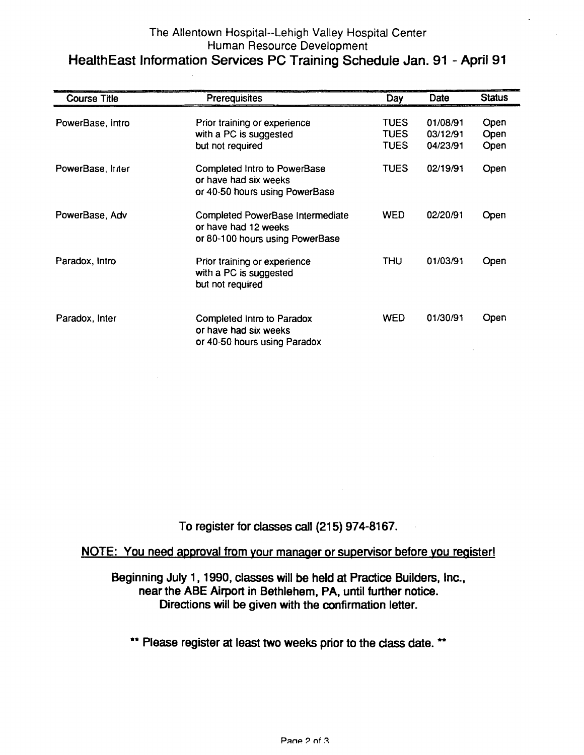# The Allentown Hospital--Lehigh Valley Hospital Center Human Resource Development HealthEast Information Services PC Training Schedule Jan. 91 - April 91

| <b>Course Title</b> | Prerequisites                                                                               | Day                                       | Date                             | <b>Status</b>        |
|---------------------|---------------------------------------------------------------------------------------------|-------------------------------------------|----------------------------------|----------------------|
| PowerBase, Intro    | Prior training or experience<br>with a PC is suggested<br>but not required                  | <b>TUES</b><br><b>TUES</b><br><b>TUES</b> | 01/08/91<br>03/12/91<br>04/23/91 | Open<br>Open<br>Open |
| PowerBase, Inter    | Completed Intro to PowerBase<br>or have had six weeks<br>or 40-50 hours using PowerBase     | <b>TUES</b>                               | 02/19/91                         | Open                 |
| PowerBase, Adv      | Completed PowerBase Intermediate<br>or have had 12 weeks<br>or 80-100 hours using PowerBase | <b>WED</b>                                | 02/20/91                         | Open                 |
| Paradox, Intro      | Prior training or experience<br>with a PC is suggested<br>but not required                  | THU                                       | 01/03/91                         | Open                 |
| Paradox, Inter      | Completed Intro to Paradox<br>or have had six weeks<br>or 40-50 hours using Paradox         | <b>WED</b>                                | 01/30/91                         | Open                 |

To register for classes call (215) 974-8167.

# NOTE: You need approval from your manager or supervisor before you register!

Beginning July 1, 1990, classes will be held at Practice Builders, Inc., near the ABE Airport in Bethlehem, PA, until further notice. Directions will be given with the confirmation letter.

\*\* Please register at least two weeks prior to the class date. \*\*